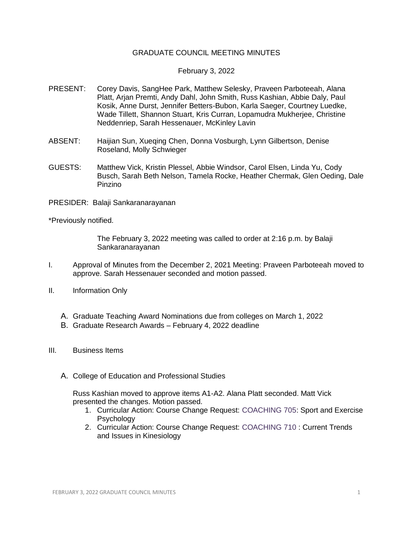## GRADUATE COUNCIL MEETING MINUTES

## February 3, 2022

- PRESENT: Corey Davis, SangHee Park, Matthew Selesky, Praveen Parboteeah, Alana Platt, Arjan Premti, Andy Dahl, John Smith, Russ Kashian, Abbie Daly, Paul Kosik, Anne Durst, Jennifer Betters-Bubon, Karla Saeger, Courtney Luedke, Wade Tillett, Shannon Stuart, Kris Curran, Lopamudra Mukherjee, Christine Neddenriep, Sarah Hessenauer, McKinley Lavin
- ABSENT: Haijian Sun, Xueqing Chen, Donna Vosburgh, Lynn Gilbertson, Denise Roseland, Molly Schwieger
- GUESTS: Matthew Vick, Kristin Plessel, Abbie Windsor, Carol Elsen, Linda Yu, Cody Busch, Sarah Beth Nelson, Tamela Rocke, Heather Chermak, Glen Oeding, Dale Pinzino
- PRESIDER: Balaji Sankaranarayanan

\*Previously notified.

The February 3, 2022 meeting was called to order at 2:16 p.m. by Balaji Sankaranarayanan

- I. Approval of Minutes from the December 2, 2021 Meeting: Praveen Parboteeah moved to approve. Sarah Hessenauer seconded and motion passed.
- II. Information Only
	- A. Graduate Teaching Award Nominations due from colleges on March 1, 2022
	- B. Graduate Research Awards February 4, 2022 deadline
- III. Business Items
	- A. College of Education and Professional Studies

Russ Kashian moved to approve items A1-A2. Alana Platt seconded. Matt Vick presented the changes. Motion passed.

- 1. Curricular Action: Course Change Request: [COACHING 705:](https://uww-next.courseleaf.com/courseleaf/courseleaf.cgi?page=/courseadmin/1113/index.html&step=showfullrecord) Sport and Exercise Psychology
- 2. Curricular Action: Course Change Request: [COACHING 710](https://uww-next.courseleaf.com/courseleaf/courseleaf.cgi?page=/courseadmin/1114/index.html&step=showfullrecord) : Current Trends and Issues in Kinesiology